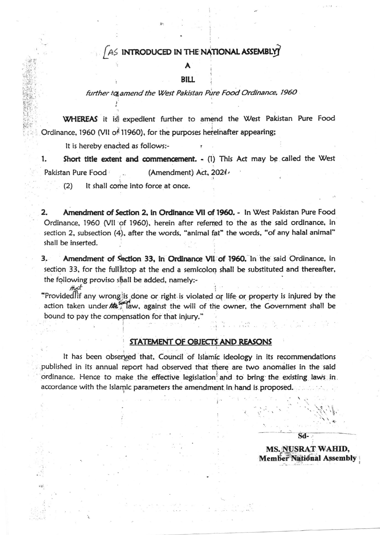## AS INTRODUCED IN THE NATIONAL ASSEMBLY

**BILL** 

## further to amend the West Pakistan Pure Food Ordinance, 1960

WHEREAS it is expedient further to amend the West Pakistan Pure Food Ordinance, 1960 (VII of 11960), for the purposes hereinafter appearing;

It is hereby enacted as follows:-

1. Short title extent and commencement. - (1) This Act may be called the West Pakistan Pure Food (Amendment) Act, 2021.

It shall come into force at once.  $(2)$ 

d g)

2. Amendment of Section 2, in Ordinance VII of 1960. - In West Pakistan Pure Food Ordinance, 1960 (VII of 1960), herein after referred to the as the said ordinance, in section 2, subsection (4), after the words, "animal fat" the words, "of any halal animal" shall be inserted.

Amendment of Section 33, in Ordinance VII of 1960. In the said Ordinance, in З. section 33, for the fullistop at the end a semicolon shall be substituted and thereafter, the following proviso shall be added, namely:-

"Provided if any wrong is done or right is violated or life or property is injured by the action taken under the against the will of the owner, the Government shall be bound to pay the compensation for that injury."

## STATEMENT OF OBJECTS AND REASONS

It has been observed that, Council of Islamic ideology in its recommendations published in its annual report had observed that there are two anomalies in the said ordinance. Hence to make the effective legislation and to bring the existing laws in. accordance with the Islamic parameters the amendment in hand is proposed.

> MS. NUSRAT WAHID, **Member National Assembly**

 $Sd-$